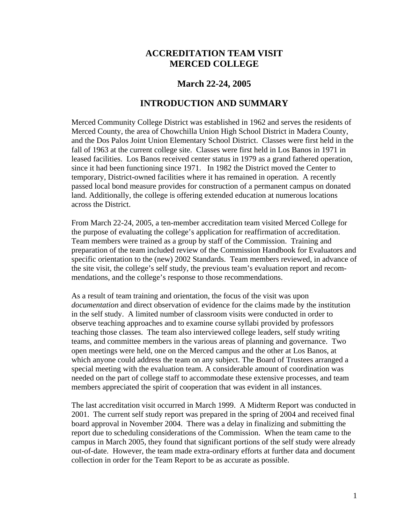# **ACCREDITATION TEAM VISIT MERCED COLLEGE**

# **March 22-24, 2005**

## **INTRODUCTION AND SUMMARY**

Merced Community College District was established in 1962 and serves the residents of Merced County, the area of Chowchilla Union High School District in Madera County, and the Dos Palos Joint Union Elementary School District. Classes were first held in the fall of 1963 at the current college site. Classes were first held in Los Banos in 1971 in leased facilities. Los Banos received center status in 1979 as a grand fathered operation, since it had been functioning since 1971. In 1982 the District moved the Center to temporary, District-owned facilities where it has remained in operation. A recently passed local bond measure provides for construction of a permanent campus on donated land. Additionally, the college is offering extended education at numerous locations across the District.

From March 22-24, 2005, a ten-member accreditation team visited Merced College for the purpose of evaluating the college's application for reaffirmation of accreditation. Team members were trained as a group by staff of the Commission. Training and preparation of the team included review of the Commission Handbook for Evaluators and specific orientation to the (new) 2002 Standards. Team members reviewed, in advance of the site visit, the college's self study, the previous team's evaluation report and recommendations, and the college's response to those recommendations.

As a result of team training and orientation, the focus of the visit was upon *documentation* and direct observation of evidence for the claims made by the institution in the self study. A limited number of classroom visits were conducted in order to observe teaching approaches and to examine course syllabi provided by professors teaching those classes. The team also interviewed college leaders, self study writing teams, and committee members in the various areas of planning and governance. Two open meetings were held, one on the Merced campus and the other at Los Banos, at which anyone could address the team on any subject. The Board of Trustees arranged a special meeting with the evaluation team. A considerable amount of coordination was needed on the part of college staff to accommodate these extensive processes, and team members appreciated the spirit of cooperation that was evident in all instances.

The last accreditation visit occurred in March 1999. A Midterm Report was conducted in 2001. The current self study report was prepared in the spring of 2004 and received final board approval in November 2004. There was a delay in finalizing and submitting the report due to scheduling considerations of the Commission. When the team came to the campus in March 2005, they found that significant portions of the self study were already out-of-date. However, the team made extra-ordinary efforts at further data and document collection in order for the Team Report to be as accurate as possible.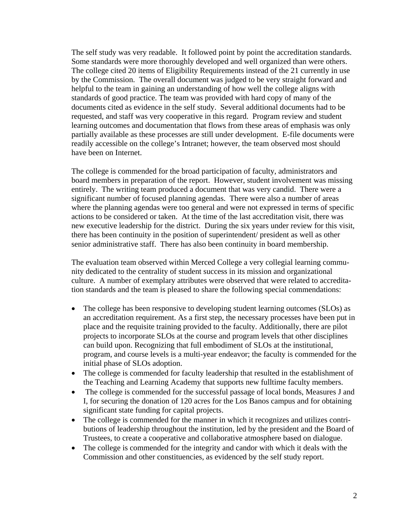The self study was very readable. It followed point by point the accreditation standards. Some standards were more thoroughly developed and well organized than were others. The college cited 20 items of Eligibility Requirements instead of the 21 currently in use by the Commission. The overall document was judged to be very straight forward and helpful to the team in gaining an understanding of how well the college aligns with standards of good practice. The team was provided with hard copy of many of the documents cited as evidence in the self study. Several additional documents had to be requested, and staff was very cooperative in this regard. Program review and student learning outcomes and documentation that flows from these areas of emphasis was only partially available as these processes are still under development. E-file documents were readily accessible on the college's Intranet; however, the team observed most should have been on Internet.

The college is commended for the broad participation of faculty, administrators and board members in preparation of the report. However, student involvement was missing entirely. The writing team produced a document that was very candid. There were a significant number of focused planning agendas. There were also a number of areas where the planning agendas were too general and were not expressed in terms of specific actions to be considered or taken. At the time of the last accreditation visit, there was new executive leadership for the district. During the six years under review for this visit, there has been continuity in the position of superintendent/ president as well as other senior administrative staff. There has also been continuity in board membership.

The evaluation team observed within Merced College a very collegial learning community dedicated to the centrality of student success in its mission and organizational culture. A number of exemplary attributes were observed that were related to accreditation standards and the team is pleased to share the following special commendations:

- The college has been responsive to developing student learning outcomes (SLOs) as an accreditation requirement. As a first step, the necessary processes have been put in place and the requisite training provided to the faculty. Additionally, there are pilot projects to incorporate SLOs at the course and program levels that other disciplines can build upon. Recognizing that full embodiment of SLOs at the institutional, program, and course levels is a multi-year endeavor; the faculty is commended for the initial phase of SLOs adoption.
- The college is commended for faculty leadership that resulted in the establishment of the Teaching and Learning Academy that supports new fulltime faculty members.
- The college is commended for the successful passage of local bonds, Measures J and I, for securing the donation of 120 acres for the Los Banos campus and for obtaining significant state funding for capital projects.
- The college is commended for the manner in which it recognizes and utilizes contributions of leadership throughout the institution, led by the president and the Board of Trustees, to create a cooperative and collaborative atmosphere based on dialogue.
- The college is commended for the integrity and candor with which it deals with the Commission and other constituencies, as evidenced by the self study report.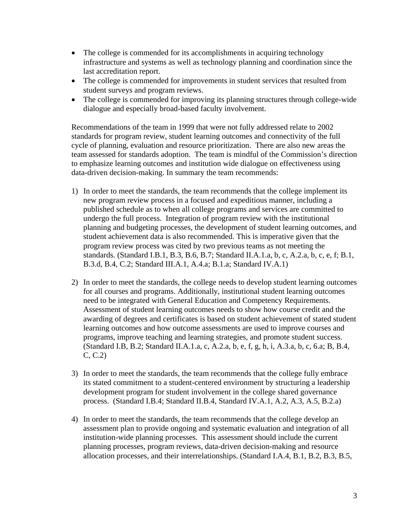- The college is commended for its accomplishments in acquiring technology infrastructure and systems as well as technology planning and coordination since the last accreditation report.
- The college is commended for improvements in student services that resulted from student surveys and program reviews.
- The college is commended for improving its planning structures through college-wide dialogue and especially broad-based faculty involvement.

Recommendations of the team in 1999 that were not fully addressed relate to 2002 standards for program review, student learning outcomes and connectivity of the full cycle of planning, evaluation and resource prioritization. There are also new areas the team assessed for standards adoption. The team is mindful of the Commission's direction to emphasize learning outcomes and institution wide dialogue on effectiveness using data-driven decision-making. In summary the team recommends:

- 1) In order to meet the standards, the team recommends that the college implement its new program review process in a focused and expeditious manner, including a published schedule as to when all college programs and services are committed to undergo the full process. Integration of program review with the institutional planning and budgeting processes, the development of student learning outcomes, and student achievement data is also recommended. This is imperative given that the program review process was cited by two previous teams as not meeting the standards. (Standard I.B.1, B.3, B.6, B.7; Standard II.A.1.a, b, c, A.2.a, b, c, e, f; B.1, B.3.d, B.4, C.2; Standard III.A.1, A.4.a; B.1.a; Standard IV.A.1)
- 2) In order to meet the standards, the college needs to develop student learning outcomes for all courses and programs. Additionally, institutional student learning outcomes need to be integrated with General Education and Competency Requirements. Assessment of student learning outcomes needs to show how course credit and the awarding of degrees and certificates is based on student achievement of stated student learning outcomes and how outcome assessments are used to improve courses and programs, improve teaching and learning strategies, and promote student success. (Standard I.B, B.2; Standard II.A.1.a, c, A.2.a, b, e, f, g, h, i, A.3.a, b, c, 6.a; B, B.4, C, C.2)
- 3) In order to meet the standards, the team recommends that the college fully embrace its stated commitment to a student-centered environment by structuring a leadership development program for student involvement in the college shared governance process. (Standard I.B.4; Standard II.B.4, Standard IV.A.1, A.2, A.3, A.5, B.2.a)
- 4) In order to meet the standards, the team recommends that the college develop an assessment plan to provide ongoing and systematic evaluation and integration of all institution-wide planning processes. This assessment should include the current planning processes, program reviews, data-driven decision-making and resource allocation processes, and their interrelationships. (Standard I.A.4, B.1, B.2, B.3, B.5,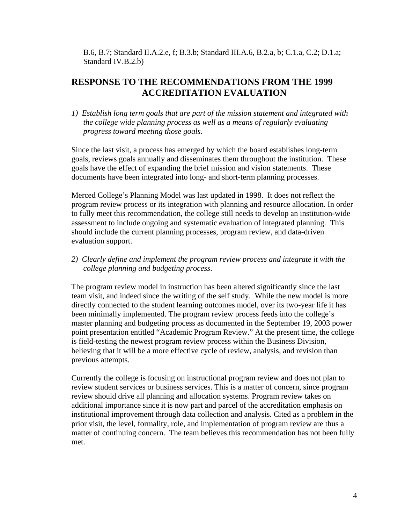B.6, B.7; Standard II.A.2.e, f; B.3.b; Standard III.A.6, B.2.a, b; C.1.a, C.2; D.1.a; Standard IV.B.2.b)

# **RESPONSE TO THE RECOMMENDATIONS FROM THE 1999 ACCREDITATION EVALUATION**

*1) Establish long term goals that are part of the mission statement and integrated with the college wide planning process as well as a means of regularly evaluating progress toward meeting those goals*.

Since the last visit, a process has emerged by which the board establishes long-term goals, reviews goals annually and disseminates them throughout the institution. These goals have the effect of expanding the brief mission and vision statements. These documents have been integrated into long- and short-term planning processes.

Merced College's Planning Model was last updated in 1998. It does not reflect the program review process or its integration with planning and resource allocation. In order to fully meet this recommendation, the college still needs to develop an institution-wide assessment to include ongoing and systematic evaluation of integrated planning. This should include the current planning processes, program review, and data-driven evaluation support.

*2) Clearly define and implement the program review process and integrate it with the college planning and budgeting process*.

The program review model in instruction has been altered significantly since the last team visit, and indeed since the writing of the self study. While the new model is more directly connected to the student learning outcomes model, over its two-year life it has been minimally implemented. The program review process feeds into the college's master planning and budgeting process as documented in the September 19, 2003 power point presentation entitled "Academic Program Review." At the present time, the college is field-testing the newest program review process within the Business Division, believing that it will be a more effective cycle of review, analysis, and revision than previous attempts.

Currently the college is focusing on instructional program review and does not plan to review student services or business services. This is a matter of concern, since program review should drive all planning and allocation systems. Program review takes on additional importance since it is now part and parcel of the accreditation emphasis on institutional improvement through data collection and analysis. Cited as a problem in the prior visit, the level, formality, role, and implementation of program review are thus a matter of continuing concern. The team believes this recommendation has not been fully met.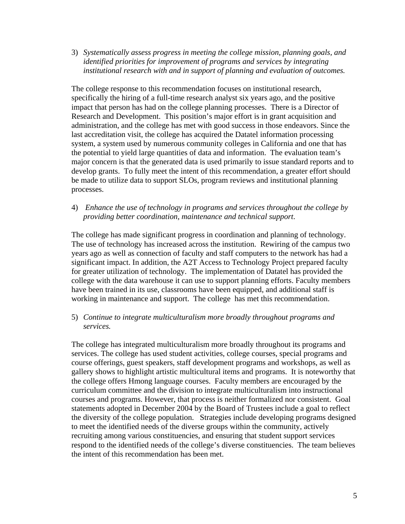3) *Systematically assess progress in meeting the college mission, planning goals, and identified priorities for improvement of programs and services by integrating institutional research with and in support of planning and evaluation of outcomes.*

The college response to this recommendation focuses on institutional research, specifically the hiring of a full-time research analyst six years ago, and the positive impact that person has had on the college planning processes. There is a Director of Research and Development. This position's major effort is in grant acquisition and administration, and the college has met with good success in those endeavors. Since the last accreditation visit, the college has acquired the Datatel information processing system, a system used by numerous community colleges in California and one that has the potential to yield large quantities of data and information. The evaluation team's major concern is that the generated data is used primarily to issue standard reports and to develop grants. To fully meet the intent of this recommendation, a greater effort should be made to utilize data to support SLOs, program reviews and institutional planning processes.

4) *Enhance the use of technology in programs and services throughout the college by providing better coordination, maintenance and technical support*.

The college has made significant progress in coordination and planning of technology. The use of technology has increased across the institution. Rewiring of the campus two years ago as well as connection of faculty and staff computers to the network has had a significant impact. In addition, the A2T Access to Technology Project prepared faculty for greater utilization of technology. The implementation of Datatel has provided the college with the data warehouse it can use to support planning efforts. Faculty members have been trained in its use, classrooms have been equipped, and additional staff is working in maintenance and support. The college has met this recommendation.

5) *Continue to integrate multiculturalism more broadly throughout programs and services.*

The college has integrated multiculturalism more broadly throughout its programs and services. The college has used student activities, college courses, special programs and course offerings, guest speakers, staff development programs and workshops, as well as gallery shows to highlight artistic multicultural items and programs. It is noteworthy that the college offers Hmong language courses. Faculty members are encouraged by the curriculum committee and the division to integrate multiculturalism into instructional courses and programs. However, that process is neither formalized nor consistent. Goal statements adopted in December 2004 by the Board of Trustees include a goal to reflect the diversity of the college population. Strategies include developing programs designed to meet the identified needs of the diverse groups within the community, actively recruiting among various constituencies, and ensuring that student support services respond to the identified needs of the college's diverse constituencies. The team believes the intent of this recommendation has been met.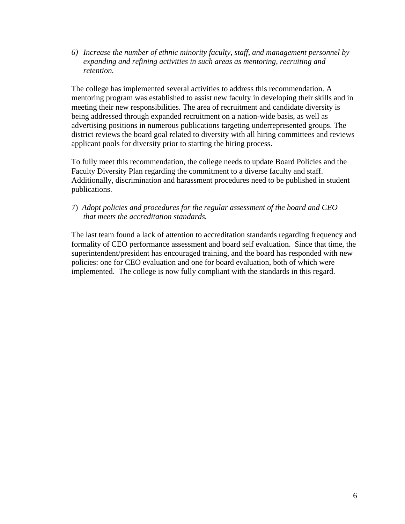*6) Increase the number of ethnic minority faculty, staff, and management personnel by expanding and refining activities in such areas as mentoring, recruiting and retention.* 

The college has implemented several activities to address this recommendation. A mentoring program was established to assist new faculty in developing their skills and in meeting their new responsibilities. The area of recruitment and candidate diversity is being addressed through expanded recruitment on a nation-wide basis, as well as advertising positions in numerous publications targeting underrepresented groups. The district reviews the board goal related to diversity with all hiring committees and reviews applicant pools for diversity prior to starting the hiring process.

To fully meet this recommendation, the college needs to update Board Policies and the Faculty Diversity Plan regarding the commitment to a diverse faculty and staff. Additionally, discrimination and harassment procedures need to be published in student publications.

7) *Adopt policies and procedures for the regular assessment of the board and CEO that meets the accreditation standards.* 

The last team found a lack of attention to accreditation standards regarding frequency and formality of CEO performance assessment and board self evaluation. Since that time, the superintendent/president has encouraged training, and the board has responded with new policies: one for CEO evaluation and one for board evaluation, both of which were implemented. The college is now fully compliant with the standards in this regard.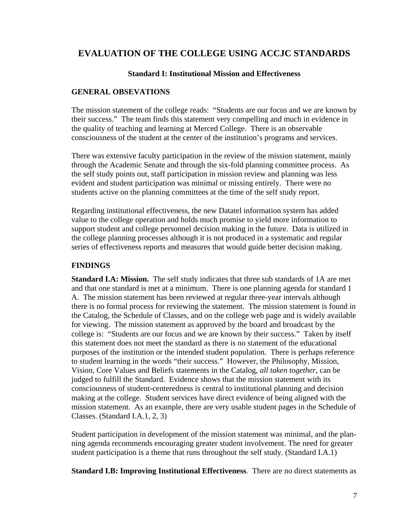# **EVALUATION OF THE COLLEGE USING ACCJC STANDARDS**

## **Standard I: Institutional Mission and Effectiveness**

## **GENERAL OBSEVATIONS**

The mission statement of the college reads: "Students are our focus and we are known by their success." The team finds this statement very compelling and much in evidence in the quality of teaching and learning at Merced College. There is an observable consciousness of the student at the center of the institution's programs and services.

There was extensive faculty participation in the review of the mission statement, mainly through the Academic Senate and through the six-fold planning committee process. As the self study points out, staff participation in mission review and planning was less evident and student participation was minimal or missing entirely. There were no students active on the planning committees at the time of the self study report.

Regarding institutional effectiveness, the new Datatel information system has added value to the college operation and holds much promise to yield more information to support student and college personnel decision making in the future. Data is utilized in the college planning processes although it is not produced in a systematic and regular series of effectiveness reports and measures that would guide better decision making.

## **FINDINGS**

**Standard I.A: Mission.** The self study indicates that three sub standards of 1A are met and that one standard is met at a minimum. There is one planning agenda for standard 1 A. The mission statement has been reviewed at regular three-year intervals although there is no formal process for reviewing the statement. The mission statement is found in the Catalog, the Schedule of Classes, and on the college web page and is widely available for viewing. The mission statement as approved by the board and broadcast by the college is: "Students are our focus and we are known by their success." Taken by itself this statement does not meet the standard as there is no statement of the educational purposes of the institution or the intended student population. There is perhaps reference to student learning in the words "their success." However, the Philosophy, Mission, Vision, Core Values and Beliefs statements in the Catalog, *all taken together*, can be judged to fulfill the Standard. Evidence shows that the mission statement with its consciousness of student-centeredness is central to institutional planning and decision making at the college. Student services have direct evidence of being aligned with the mission statement. As an example, there are very usable student pages in the Schedule of Classes. (Standard I.A.1, 2, 3)

Student participation in development of the mission statement was minimal, and the planning agenda recommends encouraging greater student involvement. The need for greater student participation is a theme that runs throughout the self study. (Standard I.A.1)

**Standard I.B: Improving Institutional Effectiveness**. There are no direct statements as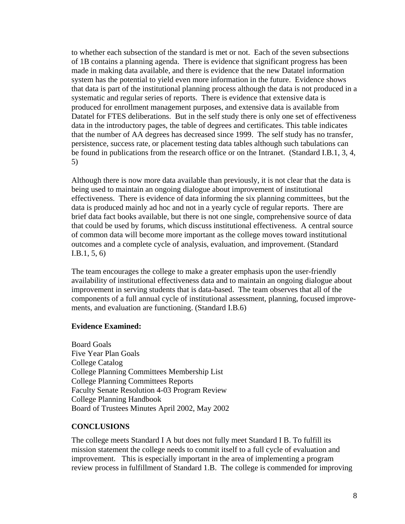to whether each subsection of the standard is met or not. Each of the seven subsections of 1B contains a planning agenda. There is evidence that significant progress has been made in making data available, and there is evidence that the new Datatel information system has the potential to yield even more information in the future. Evidence shows that data is part of the institutional planning process although the data is not produced in a systematic and regular series of reports. There is evidence that extensive data is produced for enrollment management purposes, and extensive data is available from Datatel for FTES deliberations. But in the self study there is only one set of effectiveness data in the introductory pages, the table of degrees and certificates. This table indicates that the number of AA degrees has decreased since 1999. The self study has no transfer, persistence, success rate, or placement testing data tables although such tabulations can be found in publications from the research office or on the Intranet. (Standard I.B.1, 3, 4, 5)

Although there is now more data available than previously, it is not clear that the data is being used to maintain an ongoing dialogue about improvement of institutional effectiveness. There is evidence of data informing the six planning committees, but the data is produced mainly ad hoc and not in a yearly cycle of regular reports. There are brief data fact books available, but there is not one single, comprehensive source of data that could be used by forums, which discuss institutional effectiveness. A central source of common data will become more important as the college moves toward institutional outcomes and a complete cycle of analysis, evaluation, and improvement. (Standard I.B.1, 5, 6)

The team encourages the college to make a greater emphasis upon the user-friendly availability of institutional effectiveness data and to maintain an ongoing dialogue about improvement in serving students that is data-based. The team observes that all of the components of a full annual cycle of institutional assessment, planning, focused improvements, and evaluation are functioning. (Standard I.B.6)

## **Evidence Examined:**

Board Goals Five Year Plan Goals College Catalog College Planning Committees Membership List College Planning Committees Reports Faculty Senate Resolution 4-03 Program Review College Planning Handbook Board of Trustees Minutes April 2002, May 2002

#### **CONCLUSIONS**

The college meets Standard I A but does not fully meet Standard I B. To fulfill its mission statement the college needs to commit itself to a full cycle of evaluation and improvement. This is especially important in the area of implementing a program review process in fulfillment of Standard 1.B. The college is commended for improving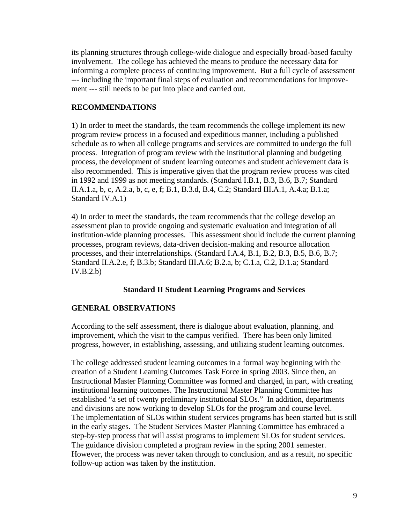its planning structures through college-wide dialogue and especially broad-based faculty involvement. The college has achieved the means to produce the necessary data for informing a complete process of continuing improvement. But a full cycle of assessment --- including the important final steps of evaluation and recommendations for improvement --- still needs to be put into place and carried out.

## **RECOMMENDATIONS**

1) In order to meet the standards, the team recommends the college implement its new program review process in a focused and expeditious manner, including a published schedule as to when all college programs and services are committed to undergo the full process. Integration of program review with the institutional planning and budgeting process, the development of student learning outcomes and student achievement data is also recommended. This is imperative given that the program review process was cited in 1992 and 1999 as not meeting standards. (Standard I.B.1, B.3, B.6, B.7; Standard II.A.1.a, b, c, A.2.a, b, c, e, f; B.1, B.3.d, B.4, C.2; Standard III.A.1, A.4.a; B.1.a; Standard IV.A.1)

4) In order to meet the standards, the team recommends that the college develop an assessment plan to provide ongoing and systematic evaluation and integration of all institution-wide planning processes. This assessment should include the current planning processes, program reviews, data-driven decision-making and resource allocation processes, and their interrelationships. (Standard I.A.4, B.1, B.2, B.3, B.5, B.6, B.7; Standard II.A.2.e, f; B.3.b; Standard III.A.6; B.2.a, b; C.1.a, C.2, D.1.a; Standard IV.B.2.b)

## **Standard II Student Learning Programs and Services**

#### **GENERAL OBSERVATIONS**

According to the self assessment, there is dialogue about evaluation, planning, and improvement, which the visit to the campus verified. There has been only limited progress, however, in establishing, assessing, and utilizing student learning outcomes.

The college addressed student learning outcomes in a formal way beginning with the creation of a Student Learning Outcomes Task Force in spring 2003. Since then, an Instructional Master Planning Committee was formed and charged, in part, with creating institutional learning outcomes. The Instructional Master Planning Committee has established "a set of twenty preliminary institutional SLOs." In addition, departments and divisions are now working to develop SLOs for the program and course level. The implementation of SLOs within student services programs has been started but is still in the early stages. The Student Services Master Planning Committee has embraced a step-by-step process that will assist programs to implement SLOs for student services. The guidance division completed a program review in the spring 2001 semester. However, the process was never taken through to conclusion, and as a result, no specific follow-up action was taken by the institution.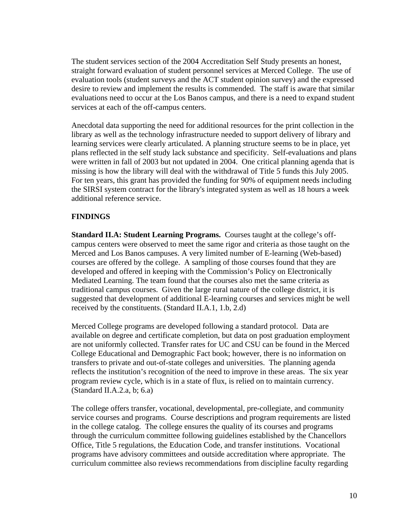The student services section of the 2004 Accreditation Self Study presents an honest, straight forward evaluation of student personnel services at Merced College. The use of evaluation tools (student surveys and the ACT student opinion survey) and the expressed desire to review and implement the results is commended. The staff is aware that similar evaluations need to occur at the Los Banos campus, and there is a need to expand student services at each of the off-campus centers.

Anecdotal data supporting the need for additional resources for the print collection in the library as well as the technology infrastructure needed to support delivery of library and learning services were clearly articulated. A planning structure seems to be in place, yet plans reflected in the self study lack substance and specificity. Self-evaluations and plans were written in fall of 2003 but not updated in 2004. One critical planning agenda that is missing is how the library will deal with the withdrawal of Title 5 funds this July 2005. For ten years, this grant has provided the funding for 90% of equipment needs including the SIRSI system contract for the library's integrated system as well as 18 hours a week additional reference service.

## **FINDINGS**

**Standard II.A: Student Learning Programs.** Courses taught at the college's offcampus centers were observed to meet the same rigor and criteria as those taught on the Merced and Los Banos campuses. A very limited number of E-learning (Web-based) courses are offered by the college. A sampling of those courses found that they are developed and offered in keeping with the Commission's Policy on Electronically Mediated Learning. The team found that the courses also met the same criteria as traditional campus courses. Given the large rural nature of the college district, it is suggested that development of additional E-learning courses and services might be well received by the constituents. (Standard II.A.1, 1.b, 2.d)

Merced College programs are developed following a standard protocol. Data are available on degree and certificate completion, but data on post graduation employment are not uniformly collected. Transfer rates for UC and CSU can be found in the Merced College Educational and Demographic Fact book; however, there is no information on transfers to private and out-of-state colleges and universities. The planning agenda reflects the institution's recognition of the need to improve in these areas. The six year program review cycle, which is in a state of flux, is relied on to maintain currency. (Standard II.A.2.a, b; 6.a)

The college offers transfer, vocational, developmental, pre-collegiate, and community service courses and programs. Course descriptions and program requirements are listed in the college catalog. The college ensures the quality of its courses and programs through the curriculum committee following guidelines established by the Chancellors Office, Title 5 regulations, the Education Code, and transfer institutions. Vocational programs have advisory committees and outside accreditation where appropriate. The curriculum committee also reviews recommendations from discipline faculty regarding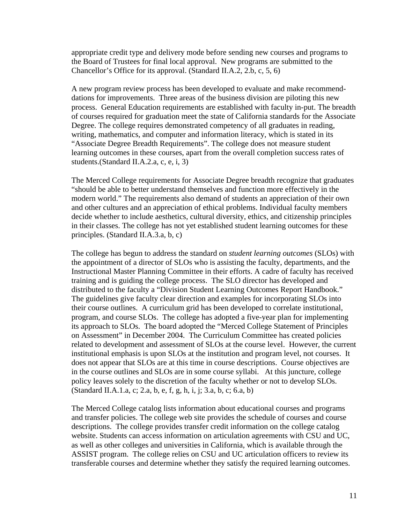appropriate credit type and delivery mode before sending new courses and programs to the Board of Trustees for final local approval. New programs are submitted to the Chancellor's Office for its approval. (Standard II.A.2, 2.b, c, 5, 6)

A new program review process has been developed to evaluate and make recommenddations for improvements. Three areas of the business division are piloting this new process. General Education requirements are established with faculty in-put. The breadth of courses required for graduation meet the state of California standards for the Associate Degree. The college requires demonstrated competency of all graduates in reading, writing, mathematics, and computer and information literacy, which is stated in its "Associate Degree Breadth Requirements". The college does not measure student learning outcomes in these courses, apart from the overall completion success rates of students.(Standard II.A.2.a, c, e, i, 3)

The Merced College requirements for Associate Degree breadth recognize that graduates "should be able to better understand themselves and function more effectively in the modern world." The requirements also demand of students an appreciation of their own and other cultures and an appreciation of ethical problems. Individual faculty members decide whether to include aesthetics, cultural diversity, ethics, and citizenship principles in their classes. The college has not yet established student learning outcomes for these principles. (Standard II.A.3.a, b, c)

The college has begun to address the standard on *student learning outcomes* (SLOs) with the appointment of a director of SLOs who is assisting the faculty, departments, and the Instructional Master Planning Committee in their efforts. A cadre of faculty has received training and is guiding the college process. The SLO director has developed and distributed to the faculty a "Division Student Learning Outcomes Report Handbook." The guidelines give faculty clear direction and examples for incorporating SLOs into their course outlines. A curriculum grid has been developed to correlate institutional, program, and course SLOs. The college has adopted a five-year plan for implementing its approach to SLOs. The board adopted the "Merced College Statement of Principles on Assessment" in December 2004. The Curriculum Committee has created policies related to development and assessment of SLOs at the course level. However, the current institutional emphasis is upon SLOs at the institution and program level, not courses. It does not appear that SLOs are at this time in course descriptions. Course objectives are in the course outlines and SLOs are in some course syllabi. At this juncture, college policy leaves solely to the discretion of the faculty whether or not to develop SLOs. (Standard II.A.1.a, c; 2.a, b, e, f, g, h, i, j; 3.a, b, c; 6.a, b)

The Merced College catalog lists information about educational courses and programs and transfer policies. The college web site provides the schedule of courses and course descriptions. The college provides transfer credit information on the college catalog website. Students can access information on articulation agreements with CSU and UC, as well as other colleges and universities in California, which is available through the ASSIST program. The college relies on CSU and UC articulation officers to review its transferable courses and determine whether they satisfy the required learning outcomes.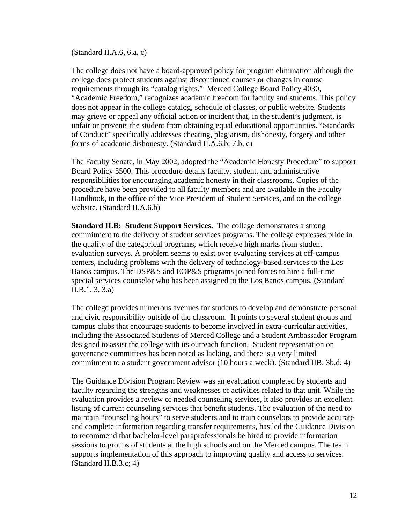(Standard II.A.6, 6.a, c)

The college does not have a board-approved policy for program elimination although the college does protect students against discontinued courses or changes in course requirements through its "catalog rights." Merced College Board Policy 4030, "Academic Freedom," recognizes academic freedom for faculty and students. This policy does not appear in the college catalog, schedule of classes, or public website. Students may grieve or appeal any official action or incident that, in the student's judgment, is unfair or prevents the student from obtaining equal educational opportunities. "Standards of Conduct" specifically addresses cheating, plagiarism, dishonesty, forgery and other forms of academic dishonesty. (Standard II.A.6.b; 7.b, c)

The Faculty Senate, in May 2002, adopted the "Academic Honesty Procedure" to support Board Policy 5500. This procedure details faculty, student, and administrative responsibilities for encouraging academic honesty in their classrooms. Copies of the procedure have been provided to all faculty members and are available in the Faculty Handbook, in the office of the Vice President of Student Services, and on the college website. (Standard II.A.6.b)

**Standard II.B: Student Support Services.** The college demonstrates a strong commitment to the delivery of student services programs. The college expresses pride in the quality of the categorical programs, which receive high marks from student evaluation surveys. A problem seems to exist over evaluating services at off-campus centers, including problems with the delivery of technology-based services to the Los Banos campus. The DSP&S and EOP&S programs joined forces to hire a full-time special services counselor who has been assigned to the Los Banos campus. (Standard II.B.1, 3, 3.a)

The college provides numerous avenues for students to develop and demonstrate personal and civic responsibility outside of the classroom. It points to several student groups and campus clubs that encourage students to become involved in extra-curricular activities, including the Associated Students of Merced College and a Student Ambassador Program designed to assist the college with its outreach function. Student representation on governance committees has been noted as lacking, and there is a very limited commitment to a student government advisor (10 hours a week). (Standard IIB: 3b,d; 4)

The Guidance Division Program Review was an evaluation completed by students and faculty regarding the strengths and weaknesses of activities related to that unit. While the evaluation provides a review of needed counseling services, it also provides an excellent listing of current counseling services that benefit students. The evaluation of the need to maintain "counseling hours" to serve students and to train counselors to provide accurate and complete information regarding transfer requirements, has led the Guidance Division to recommend that bachelor-level paraprofessionals be hired to provide information sessions to groups of students at the high schools and on the Merced campus. The team supports implementation of this approach to improving quality and access to services. (Standard II.B.3.c; 4)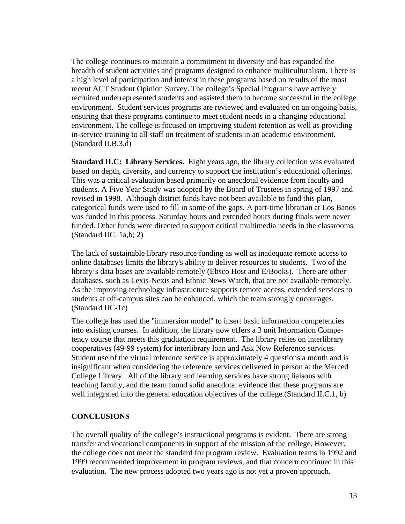The college continues to maintain a commitment to diversity and has expanded the breadth of student activities and programs designed to enhance multiculturalism. There is a high level of participation and interest in these programs based on results of the most recent ACT Student Opinion Survey. The college's Special Programs have actively recruited underrepresented students and assisted them to become successful in the college environment. Student services programs are reviewed and evaluated on an ongoing basis, ensuring that these programs continue to meet student needs in a changing educational environment. The college is focused on improving student retention as well as providing in-service training to all staff on treatment of students in an academic environment. (Standard II.B.3.d)

**Standard II.C: Library Services.** Eight years ago, the library collection was evaluated based on depth, diversity, and currency to support the institution's educational offerings. This was a critical evaluation based primarily on anecdotal evidence from faculty and students. A Five Year Study was adopted by the Board of Trustees in spring of 1997 and revised in 1998. Although district funds have not been available to fund this plan, categorical funds were used to fill in some of the gaps. A part-time librarian at Los Banos was funded in this process. Saturday hours and extended hours during finals were never funded. Other funds were directed to support critical multimedia needs in the classrooms. (Standard IIC: 1a,b; 2)

The lack of sustainable library resource funding as well as inadequate remote access to online databases limits the library's ability to deliver resources to students. Two of the library's data bases are available remotely (Ebsco Host and E/Books). There are other databases, such as Lexis-Nexis and Ethnic News Watch, that are not available remotely. As the improving technology infrastructure supports remote access, extended services to students at off-campus sites can be enhanced, which the team strongly encourages. (Standard IIC-1c)

The college has used the "immersion model" to insert basic information competencies into existing courses. In addition, the library now offers a 3 unit Information Competency course that meets this graduation requirement. The library relies on interlibrary cooperatives (49-99 system) for interlibrary loan and Ask Now Reference services. Student use of the virtual reference service is approximately 4 questions a month and is insignificant when considering the reference services delivered in person at the Merced College Library. All of the library and learning services have strong liaisons with teaching faculty, and the team found solid anecdotal evidence that these programs are well integrated into the general education objectives of the college. (Standard II.C.1, b)

## **CONCLUSIONS**

The overall quality of the college's instructional programs is evident. There are strong transfer and vocational components in support of the mission of the college. However, the college does not meet the standard for program review. Evaluation teams in 1992 and 1999 recommended improvement in program reviews, and that concern continued in this evaluation. The new process adopted two years ago is not yet a proven approach.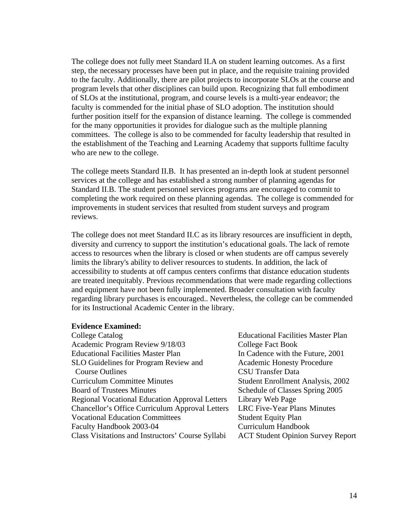The college does not fully meet Standard II.A on student learning outcomes. As a first step, the necessary processes have been put in place, and the requisite training provided to the faculty. Additionally, there are pilot projects to incorporate SLOs at the course and program levels that other disciplines can build upon. Recognizing that full embodiment of SLOs at the institutional, program, and course levels is a multi-year endeavor; the faculty is commended for the initial phase of SLO adoption. The institution should further position itself for the expansion of distance learning. The college is commended for the many opportunities it provides for dialogue such as the multiple planning committees. The college is also to be commended for faculty leadership that resulted in the establishment of the Teaching and Learning Academy that supports fulltime faculty who are new to the college.

The college meets Standard II.B. It has presented an in-depth look at student personnel services at the college and has established a strong number of planning agendas for Standard II.B. The student personnel services programs are encouraged to commit to completing the work required on these planning agendas. The college is commended for improvements in student services that resulted from student surveys and program reviews.

The college does not meet Standard II.C as its library resources are insufficient in depth, diversity and currency to support the institution's educational goals. The lack of remote access to resources when the library is closed or when students are off campus severely limits the library's ability to deliver resources to students. In addition, the lack of accessibility to students at off campus centers confirms that distance education students are treated inequitably. Previous recommendations that were made regarding collections and equipment have not been fully implemented. Broader consultation with faculty regarding library purchases is encouraged.. Nevertheless, the college can be commended for its Instructional Academic Center in the library.

#### **Evidence Examined:**

| College Catalog                                        | <b>Educational Facilities Master Plan</b> |
|--------------------------------------------------------|-------------------------------------------|
| Academic Program Review 9/18/03                        | College Fact Book                         |
| <b>Educational Facilities Master Plan</b>              | In Cadence with the Future, 2001          |
| SLO Guidelines for Program Review and                  | <b>Academic Honesty Procedure</b>         |
| <b>Course Outlines</b>                                 | <b>CSU Transfer Data</b>                  |
| <b>Curriculum Committee Minutes</b>                    | <b>Student Enrollment Analysis, 2002</b>  |
| <b>Board of Trustees Minutes</b>                       | Schedule of Classes Spring 2005           |
| <b>Regional Vocational Education Approval Letters</b>  | Library Web Page                          |
| <b>Chancellor's Office Curriculum Approval Letters</b> | <b>LRC Five-Year Plans Minutes</b>        |
| <b>Vocational Education Committees</b>                 | <b>Student Equity Plan</b>                |
| Faculty Handbook 2003-04                               | Curriculum Handbook                       |
| Class Visitations and Instructors' Course Syllabi      | <b>ACT Student Opinion Survey Report</b>  |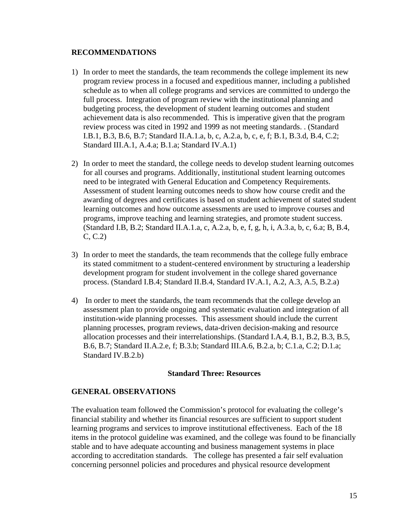## **RECOMMENDATIONS**

- 1) In order to meet the standards, the team recommends the college implement its new program review process in a focused and expeditious manner, including a published schedule as to when all college programs and services are committed to undergo the full process. Integration of program review with the institutional planning and budgeting process, the development of student learning outcomes and student achievement data is also recommended. This is imperative given that the program review process was cited in 1992 and 1999 as not meeting standards. . (Standard I.B.1, B.3, B.6, B.7; Standard II.A.1.a, b, c, A.2.a, b, c, e, f; B.1, B.3.d, B.4, C.2; Standard III.A.1, A.4.a; B.1.a; Standard IV.A.1)
- 2) In order to meet the standard, the college needs to develop student learning outcomes for all courses and programs. Additionally, institutional student learning outcomes need to be integrated with General Education and Competency Requirements. Assessment of student learning outcomes needs to show how course credit and the awarding of degrees and certificates is based on student achievement of stated student learning outcomes and how outcome assessments are used to improve courses and programs, improve teaching and learning strategies, and promote student success. (Standard I.B, B.2; Standard II.A.1.a, c, A.2.a, b, e, f, g, h, i, A.3.a, b, c, 6.a; B, B.4, C, C.2)
- 3) In order to meet the standards, the team recommends that the college fully embrace its stated commitment to a student-centered environment by structuring a leadership development program for student involvement in the college shared governance process. (Standard I.B.4; Standard II.B.4, Standard IV.A.1, A.2, A.3, A.5, B.2.a)
- 4) In order to meet the standards, the team recommends that the college develop an assessment plan to provide ongoing and systematic evaluation and integration of all institution-wide planning processes. This assessment should include the current planning processes, program reviews, data-driven decision-making and resource allocation processes and their interrelationships. (Standard I.A.4, B.1, B.2, B.3, B.5, B.6, B.7; Standard II.A.2.e, f; B.3.b; Standard III.A.6, B.2.a, b; C.1.a, C.2; D.1.a; Standard IV.B.2.b)

#### **Standard Three: Resources**

## **GENERAL OBSERVATIONS**

The evaluation team followed the Commission's protocol for evaluating the college's financial stability and whether its financial resources are sufficient to support student learning programs and services to improve institutional effectiveness. Each of the 18 items in the protocol guideline was examined, and the college was found to be financially stable and to have adequate accounting and business management systems in place according to accreditation standards. The college has presented a fair self evaluation concerning personnel policies and procedures and physical resource development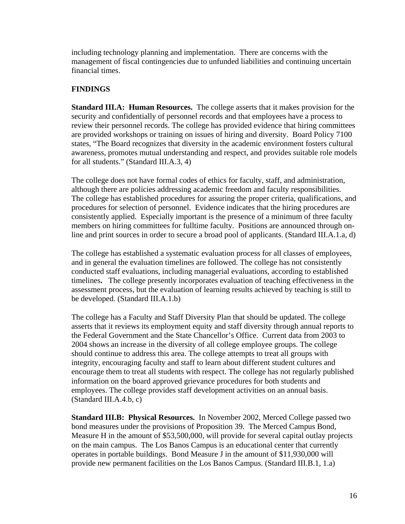including technology planning and implementation. There are concerns with the management of fiscal contingencies due to unfunded liabilities and continuing uncertain financial times.

# **FINDINGS**

**Standard III.A: Human Resources.** The college asserts that it makes provision for the security and confidentially of personnel records and that employees have a process to review their personnel records. The college has provided evidence that hiring committees are provided workshops or training on issues of hiring and diversity. Board Policy 7100 states, "The Board recognizes that diversity in the academic environment fosters cultural awareness, promotes mutual understanding and respect, and provides suitable role models for all students." (Standard III.A.3, 4)

The college does not have formal codes of ethics for faculty, staff, and administration, although there are policies addressing academic freedom and faculty responsibilities. The college has established procedures for assuring the proper criteria, qualifications, and procedures for selection of personnel. Evidence indicates that the hiring procedures are consistently applied. Especially important is the presence of a minimum of three faculty members on hiring committees for fulltime faculty. Positions are announced through online and print sources in order to secure a broad pool of applicants. (Standard III.A.1.a, d)

The college has established a systematic evaluation process for all classes of employees, and in general the evaluation timelines are followed. The college has not consistently conducted staff evaluations, including managerial evaluations, according to established timelines**.** The college presently incorporates evaluation of teaching effectiveness in the assessment process, but the evaluation of learning results achieved by teaching is still to be developed. (Standard III.A.1.b)

The college has a Faculty and Staff Diversity Plan that should be updated. The college asserts that it reviews its employment equity and staff diversity through annual reports to the Federal Government and the State Chancellor's Office. Current data from 2003 to 2004 shows an increase in the diversity of all college employee groups. The college should continue to address this area. The college attempts to treat all groups with integrity, encouraging faculty and staff to learn about different student cultures and encourage them to treat all students with respect. The college has not regularly published information on the board approved grievance procedures for both students and employees. The college provides staff development activities on an annual basis. (Standard III.A.4.b, c)

**Standard III.B: Physical Resources.** In November 2002, Merced College passed two bond measures under the provisions of Proposition 39. The Merced Campus Bond, Measure H in the amount of \$53,500,000, will provide for several capital outlay projects on the main campus. The Los Banos Campus is an educational center that currently operates in portable buildings. Bond Measure J in the amount of \$11,930,000 will provide new permanent facilities on the Los Banos Campus. (Standard III.B.1, 1.a)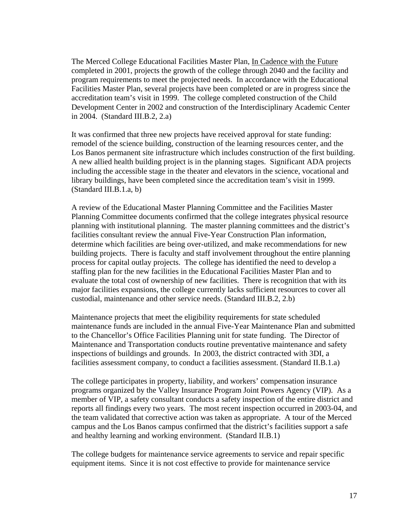The Merced College Educational Facilities Master Plan, In Cadence with the Future completed in 2001, projects the growth of the college through 2040 and the facility and program requirements to meet the projected needs. In accordance with the Educational Facilities Master Plan, several projects have been completed or are in progress since the accreditation team's visit in 1999. The college completed construction of the Child Development Center in 2002 and construction of the Interdisciplinary Academic Center in 2004. (Standard III.B.2, 2.a)

It was confirmed that three new projects have received approval for state funding: remodel of the science building, construction of the learning resources center, and the Los Banos permanent site infrastructure which includes construction of the first building. A new allied health building project is in the planning stages. Significant ADA projects including the accessible stage in the theater and elevators in the science, vocational and library buildings, have been completed since the accreditation team's visit in 1999. (Standard III.B.1.a, b)

A review of the Educational Master Planning Committee and the Facilities Master Planning Committee documents confirmed that the college integrates physical resource planning with institutional planning. The master planning committees and the district's facilities consultant review the annual Five-Year Construction Plan information, determine which facilities are being over-utilized, and make recommendations for new building projects. There is faculty and staff involvement throughout the entire planning process for capital outlay projects. The college has identified the need to develop a staffing plan for the new facilities in the Educational Facilities Master Plan and to evaluate the total cost of ownership of new facilities. There is recognition that with its major facilities expansions, the college currently lacks sufficient resources to cover all custodial, maintenance and other service needs. (Standard III.B.2, 2.b)

Maintenance projects that meet the eligibility requirements for state scheduled maintenance funds are included in the annual Five-Year Maintenance Plan and submitted to the Chancellor's Office Facilities Planning unit for state funding. The Director of Maintenance and Transportation conducts routine preventative maintenance and safety inspections of buildings and grounds. In 2003, the district contracted with 3DI, a facilities assessment company, to conduct a facilities assessment. (Standard II.B.1.a)

The college participates in property, liability, and workers' compensation insurance programs organized by the Valley Insurance Program Joint Powers Agency (VIP). As a member of VIP, a safety consultant conducts a safety inspection of the entire district and reports all findings every two years. The most recent inspection occurred in 2003-04, and the team validated that corrective action was taken as appropriate. A tour of the Merced campus and the Los Banos campus confirmed that the district's facilities support a safe and healthy learning and working environment. (Standard II.B.1)

The college budgets for maintenance service agreements to service and repair specific equipment items. Since it is not cost effective to provide for maintenance service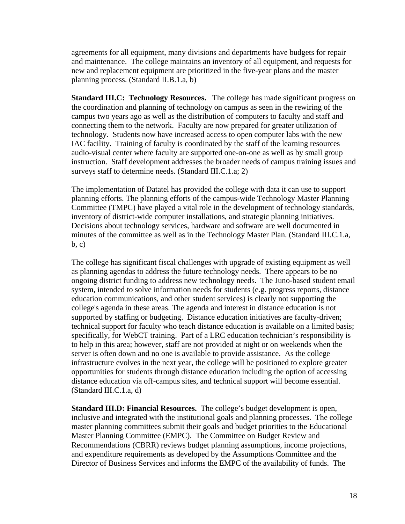agreements for all equipment, many divisions and departments have budgets for repair and maintenance. The college maintains an inventory of all equipment, and requests for new and replacement equipment are prioritized in the five-year plans and the master planning process. (Standard II.B.1.a, b)

**Standard III.C: Technology Resources.** The college has made significant progress on the coordination and planning of technology on campus as seen in the rewiring of the campus two years ago as well as the distribution of computers to faculty and staff and connecting them to the network. Faculty are now prepared for greater utilization of technology. Students now have increased access to open computer labs with the new IAC facility. Training of faculty is coordinated by the staff of the learning resources audio-visual center where faculty are supported one-on-one as well as by small group instruction. Staff development addresses the broader needs of campus training issues and surveys staff to determine needs. (Standard III.C.1.a; 2)

The implementation of Datatel has provided the college with data it can use to support planning efforts. The planning efforts of the campus-wide Technology Master Planning Committee (TMPC) have played a vital role in the development of technology standards, inventory of district-wide computer installations, and strategic planning initiatives. Decisions about technology services, hardware and software are well documented in minutes of the committee as well as in the Technology Master Plan. (Standard III.C.1.a, b, c)

The college has significant fiscal challenges with upgrade of existing equipment as well as planning agendas to address the future technology needs. There appears to be no ongoing district funding to address new technology needs. The Juno-based student email system, intended to solve information needs for students (e.g. progress reports, distance education communications, and other student services) is clearly not supporting the college's agenda in these areas. The agenda and interest in distance education is not supported by staffing or budgeting. Distance education initiatives are faculty-driven; technical support for faculty who teach distance education is available on a limited basis; specifically, for WebCT training. Part of a LRC education technician's responsibility is to help in this area; however, staff are not provided at night or on weekends when the server is often down and no one is available to provide assistance. As the college infrastructure evolves in the next year, the college will be positioned to explore greater opportunities for students through distance education including the option of accessing distance education via off-campus sites, and technical support will become essential. (Standard III.C.1.a, d)

**Standard III.D: Financial Resources.** The college's budget development is open, inclusive and integrated with the institutional goals and planning processes. The college master planning committees submit their goals and budget priorities to the Educational Master Planning Committee (EMPC). The Committee on Budget Review and Recommendations (CBRR) reviews budget planning assumptions, income projections, and expenditure requirements as developed by the Assumptions Committee and the Director of Business Services and informs the EMPC of the availability of funds. The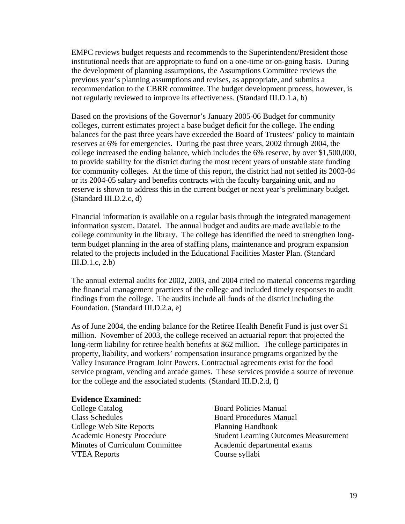EMPC reviews budget requests and recommends to the Superintendent/President those institutional needs that are appropriate to fund on a one-time or on-going basis. During the development of planning assumptions, the Assumptions Committee reviews the previous year's planning assumptions and revises, as appropriate, and submits a recommendation to the CBRR committee. The budget development process, however, is not regularly reviewed to improve its effectiveness. (Standard III.D.1.a, b)

Based on the provisions of the Governor's January 2005-06 Budget for community colleges, current estimates project a base budget deficit for the college. The ending balances for the past three years have exceeded the Board of Trustees' policy to maintain reserves at 6% for emergencies. During the past three years, 2002 through 2004, the college increased the ending balance, which includes the 6% reserve, by over \$1,500,000, to provide stability for the district during the most recent years of unstable state funding for community colleges. At the time of this report, the district had not settled its 2003-04 or its 2004-05 salary and benefits contracts with the faculty bargaining unit, and no reserve is shown to address this in the current budget or next year's preliminary budget. (Standard III.D.2.c, d)

Financial information is available on a regular basis through the integrated management information system, Datatel. The annual budget and audits are made available to the college community in the library. The college has identified the need to strengthen longterm budget planning in the area of staffing plans, maintenance and program expansion related to the projects included in the Educational Facilities Master Plan. (Standard III.D.1.c, 2.b)

The annual external audits for 2002, 2003, and 2004 cited no material concerns regarding the financial management practices of the college and included timely responses to audit findings from the college.The audits include all funds of the district including the Foundation. (Standard III.D.2.a, e)

As of June 2004, the ending balance for the Retiree Health Benefit Fund is just over \$1 million. November of 2003, the college received an actuarial report that projected the long-term liability for retiree health benefits at \$62 million. The college participates in property, liability, and workers' compensation insurance programs organized by the Valley Insurance Program Joint Powers. Contractual agreements exist for the food service program, vending and arcade games. These services provide a source of revenue for the college and the associated students. (Standard III.D.2.d, f)

# **Evidence Examined:**

Class Schedules **Board Procedures Manual** College Web Site Reports Planning Handbook Minutes of Curriculum Committee Academic departmental exams VTEA Reports Course syllabi

Board Policies Manual Academic Honesty Procedure Student Learning Outcomes Measurement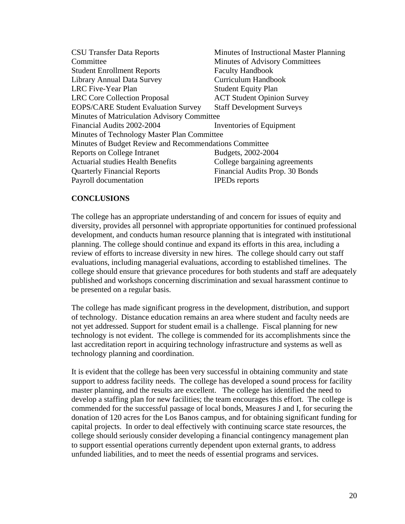| <b>CSU Transfer Data Reports</b>                       | Minutes of Instructional Master Planning |
|--------------------------------------------------------|------------------------------------------|
| Committee                                              | Minutes of Advisory Committees           |
| <b>Student Enrollment Reports</b>                      | <b>Faculty Handbook</b>                  |
| Library Annual Data Survey                             | Curriculum Handbook                      |
| LRC Five-Year Plan                                     | <b>Student Equity Plan</b>               |
| <b>LRC</b> Core Collection Proposal                    | <b>ACT Student Opinion Survey</b>        |
| <b>EOPS/CARE Student Evaluation Survey</b>             | <b>Staff Development Surveys</b>         |
| Minutes of Matriculation Advisory Committee            |                                          |
| Financial Audits 2002-2004                             | Inventories of Equipment                 |
| Minutes of Technology Master Plan Committee            |                                          |
| Minutes of Budget Review and Recommendations Committee |                                          |
| <b>Reports on College Intranet</b>                     | Budgets, 2002-2004                       |
| <b>Actuarial studies Health Benefits</b>               | College bargaining agreements            |
| <b>Quarterly Financial Reports</b>                     | Financial Audits Prop. 30 Bonds          |
| Payroll documentation                                  | <b>IPEDs</b> reports                     |

## **CONCLUSIONS**

The college has an appropriate understanding of and concern for issues of equity and diversity, provides all personnel with appropriate opportunities for continued professional development, and conducts human resource planning that is integrated with institutional planning. The college should continue and expand its efforts in this area, including a review of efforts to increase diversity in new hires. The college should carry out staff evaluations, including managerial evaluations, according to established timelines. The college should ensure that grievance procedures for both students and staff are adequately published and workshops concerning discrimination and sexual harassment continue to be presented on a regular basis.

The college has made significant progress in the development, distribution, and support of technology. Distance education remains an area where student and faculty needs are not yet addressed. Support for student email is a challenge. Fiscal planning for new technology is not evident. The college is commended for its accomplishments since the last accreditation report in acquiring technology infrastructure and systems as well as technology planning and coordination.

It is evident that the college has been very successful in obtaining community and state support to address facility needs. The college has developed a sound process for facility master planning, and the results are excellent. The college has identified the need to develop a staffing plan for new facilities; the team encourages this effort. The college is commended for the successful passage of local bonds, Measures J and I, for securing the donation of 120 acres for the Los Banos campus, and for obtaining significant funding for capital projects. In order to deal effectively with continuing scarce state resources, the college should seriously consider developing a financial contingency management plan to support essential operations currently dependent upon external grants, to address unfunded liabilities, and to meet the needs of essential programs and services.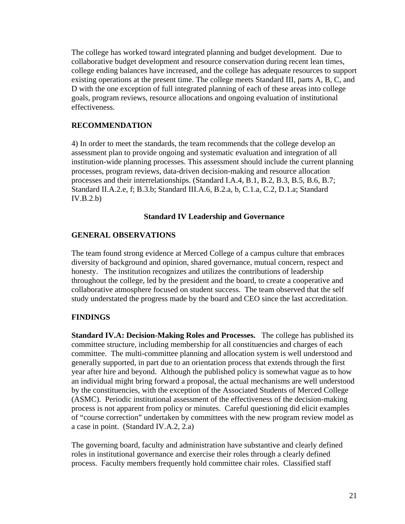The college has worked toward integrated planning and budget development. Due to collaborative budget development and resource conservation during recent lean times, college ending balances have increased, and the college has adequate resources to support existing operations at the present time. The college meets Standard III, parts A, B, C, and D with the one exception of full integrated planning of each of these areas into college goals, program reviews, resource allocations and ongoing evaluation of institutional effectiveness.

## **RECOMMENDATION**

4) In order to meet the standards, the team recommends that the college develop an assessment plan to provide ongoing and systematic evaluation and integration of all institution-wide planning processes. This assessment should include the current planning processes, program reviews, data-driven decision-making and resource allocation processes and their interrelationships. (Standard I.A.4, B.1, B.2, B.3, B.5, B.6, B.7; Standard II.A.2.e, f; B.3.b; Standard III.A.6, B.2.a, b, C.1.a, C.2, D.1.a; Standard IV.B.2.b)

## **Standard IV Leadership and Governance**

## **GENERAL OBSERVATIONS**

The team found strong evidence at Merced College of a campus culture that embraces diversity of background and opinion, shared governance, mutual concern, respect and honesty. The institution recognizes and utilizes the contributions of leadership throughout the college, led by the president and the board, to create a cooperative and collaborative atmosphere focused on student success. The team observed that the self study understated the progress made by the board and CEO since the last accreditation.

## **FINDINGS**

**Standard IV.A: Decision-Making Roles and Processes.** The college has published its committee structure, including membership for all constituencies and charges of each committee. The multi-committee planning and allocation system is well understood and generally supported, in part due to an orientation process that extends through the first year after hire and beyond. Although the published policy is somewhat vague as to how an individual might bring forward a proposal, the actual mechanisms are well understood by the constituencies, with the exception of the Associated Students of Merced College (ASMC). Periodic institutional assessment of the effectiveness of the decision-making process is not apparent from policy or minutes. Careful questioning did elicit examples of "course correction" undertaken by committees with the new program review model as a case in point. (Standard IV.A.2, 2.a)

The governing board, faculty and administration have substantive and clearly defined roles in institutional governance and exercise their roles through a clearly defined process. Faculty members frequently hold committee chair roles. Classified staff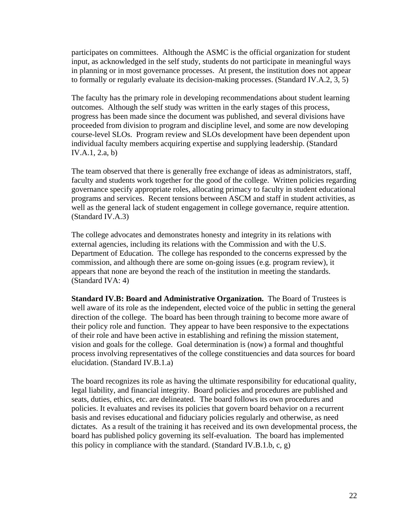participates on committees. Although the ASMC is the official organization for student input, as acknowledged in the self study, students do not participate in meaningful ways in planning or in most governance processes. At present, the institution does not appear to formally or regularly evaluate its decision-making processes. (Standard IV.A.2, 3, 5)

The faculty has the primary role in developing recommendations about student learning outcomes. Although the self study was written in the early stages of this process, progress has been made since the document was published, and several divisions have proceeded from division to program and discipline level, and some are now developing course-level SLOs. Program review and SLOs development have been dependent upon individual faculty members acquiring expertise and supplying leadership. (Standard IV.A.1, 2.a, b)

The team observed that there is generally free exchange of ideas as administrators, staff, faculty and students work together for the good of the college. Written policies regarding governance specify appropriate roles, allocating primacy to faculty in student educational programs and services. Recent tensions between ASCM and staff in student activities, as well as the general lack of student engagement in college governance, require attention. (Standard IV.A.3)

The college advocates and demonstrates honesty and integrity in its relations with external agencies, including its relations with the Commission and with the U.S. Department of Education. The college has responded to the concerns expressed by the commission, and although there are some on-going issues (e.g. program review), it appears that none are beyond the reach of the institution in meeting the standards. (Standard IVA: 4)

**Standard IV.B: Board and Administrative Organization.** The Board of Trustees is well aware of its role as the independent, elected voice of the public in setting the general direction of the college. The board has been through training to become more aware of their policy role and function. They appear to have been responsive to the expectations of their role and have been active in establishing and refining the mission statement, vision and goals for the college. Goal determination is (now) a formal and thoughtful process involving representatives of the college constituencies and data sources for board elucidation. (Standard IV.B.1.a)

The board recognizes its role as having the ultimate responsibility for educational quality, legal liability, and financial integrity. Board policies and procedures are published and seats, duties, ethics, etc. are delineated. The board follows its own procedures and policies. It evaluates and revises its policies that govern board behavior on a recurrent basis and revises educational and fiduciary policies regularly and otherwise, as need dictates. As a result of the training it has received and its own developmental process, the board has published policy governing its self-evaluation. The board has implemented this policy in compliance with the standard. (Standard IV.B.1.b, c,  $g$ )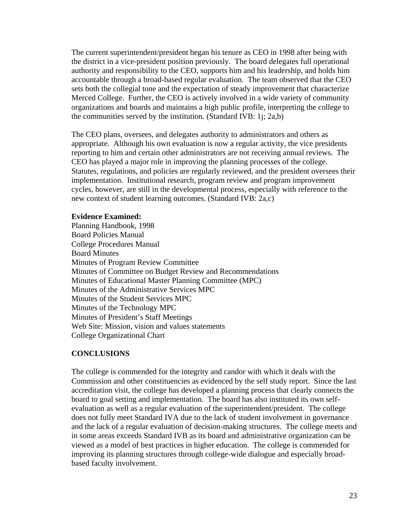The current superintendent/president began his tenure as CEO in 1998 after being with the district in a vice-president position previously. The board delegates full operational authority and responsibility to the CEO, supports him and his leadership, and holds him accountable through a broad-based regular evaluation. The team observed that the CEO sets both the collegial tone and the expectation of steady improvement that characterize Merced College. Further, the CEO is actively involved in a wide variety of community organizations and boards and maintains a high public profile, interpreting the college to the communities served by the institution. (Standard IVB: 1j; 2a,b)

The CEO plans, oversees, and delegates authority to administrators and others as appropriate. Although his own evaluation is now a regular activity, the vice presidents reporting to him and certain other administrators are not receiving annual reviews. The CEO has played a major role in improving the planning processes of the college. Statutes, regulations, and policies are regularly reviewed, and the president oversees their implementation. Institutional research, program review and program improvement cycles, however, are still in the developmental process, especially with reference to the new context of student learning outcomes. (Standard IVB: 2a,c)

## **Evidence Examined:**

Planning Handbook, 1998 Board Policies Manual College Procedures Manual Board Minutes Minutes of Program Review Committee Minutes of Committee on Budget Review and Recommendations Minutes of Educational Master Planning Committee (MPC) Minutes of the Administrative Services MPC Minutes of the Student Services MPC Minutes of the Technology MPC Minutes of President's Staff Meetings Web Site: Mission, vision and values statements College Organizational Chart

## **CONCLUSIONS**

The college is commended for the integrity and candor with which it deals with the Commission and other constituencies as evidenced by the self study report. Since the last accreditation visit, the college has developed a planning process that clearly connects the board to goal setting and implementation. The board has also instituted its own selfevaluation as well as a regular evaluation of the superintendent/president. The college does not fully meet Standard IVA due to the lack of student involvement in governance and the lack of a regular evaluation of decision-making structures. The college meets and in some areas exceeds Standard IVB as its board and administrative organization can be viewed as a model of best practices in higher education. The college is commended for improving its planning structures through college-wide dialogue and especially broadbased faculty involvement.